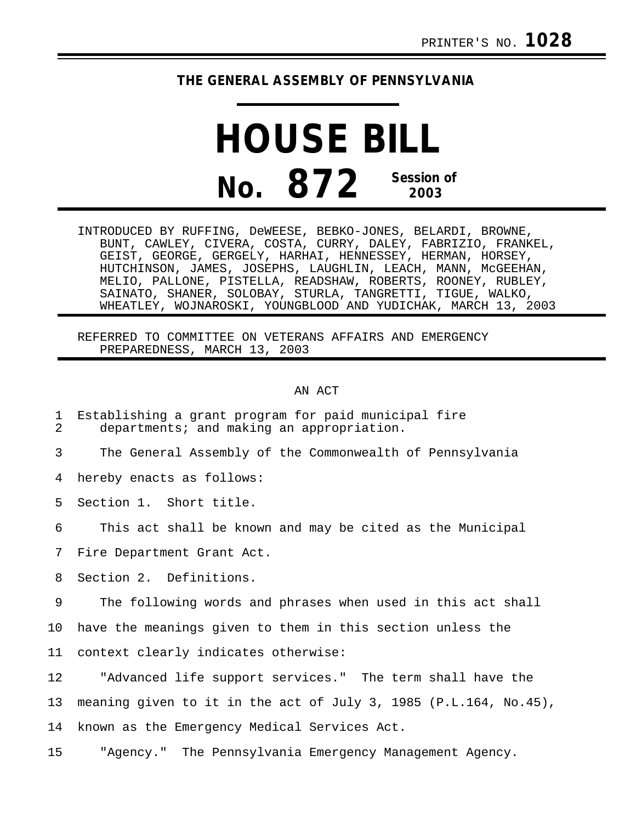## **THE GENERAL ASSEMBLY OF PENNSYLVANIA**

## **HOUSE BILL No. 872 Session of 2003**

INTRODUCED BY RUFFING, DeWEESE, BEBKO-JONES, BELARDI, BROWNE, BUNT, CAWLEY, CIVERA, COSTA, CURRY, DALEY, FABRIZIO, FRANKEL, GEIST, GEORGE, GERGELY, HARHAI, HENNESSEY, HERMAN, HORSEY, HUTCHINSON, JAMES, JOSEPHS, LAUGHLIN, LEACH, MANN, McGEEHAN, MELIO, PALLONE, PISTELLA, READSHAW, ROBERTS, ROONEY, RUBLEY, SAINATO, SHANER, SOLOBAY, STURLA, TANGRETTI, TIGUE, WALKO, WHEATLEY, WOJNAROSKI, YOUNGBLOOD AND YUDICHAK, MARCH 13, 2003

REFERRED TO COMMITTEE ON VETERANS AFFAIRS AND EMERGENCY PREPAREDNESS, MARCH 13, 2003

## AN ACT

- 1 Establishing a grant program for paid municipal fire departments; and making an appropriation.
- 3 The General Assembly of the Commonwealth of Pennsylvania

4 hereby enacts as follows:

5 Section 1. Short title.

6 This act shall be known and may be cited as the Municipal

7 Fire Department Grant Act.

8 Section 2. Definitions.

9 The following words and phrases when used in this act shall

10 have the meanings given to them in this section unless the

11 context clearly indicates otherwise:

12 "Advanced life support services." The term shall have the 13 meaning given to it in the act of July 3, 1985 (P.L.164, No.45), 14 known as the Emergency Medical Services Act.

15 "Agency." The Pennsylvania Emergency Management Agency.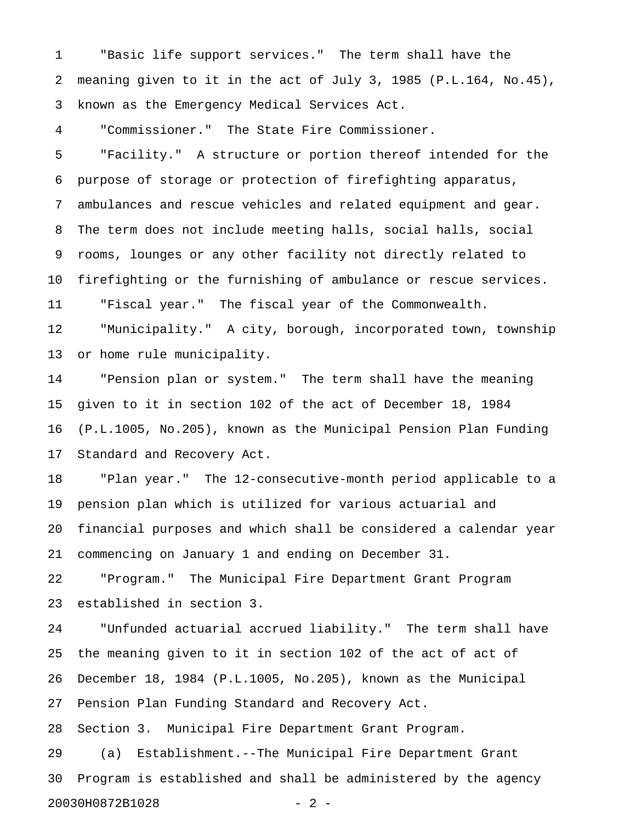1 "Basic life support services." The term shall have the 2 meaning given to it in the act of July 3, 1985 (P.L.164, No.45), 3 known as the Emergency Medical Services Act.

4 "Commissioner." The State Fire Commissioner.

5 "Facility." A structure or portion thereof intended for the 6 purpose of storage or protection of firefighting apparatus, 7 ambulances and rescue vehicles and related equipment and gear. 8 The term does not include meeting halls, social halls, social 9 rooms, lounges or any other facility not directly related to 10 firefighting or the furnishing of ambulance or rescue services. 11 "Fiscal year." The fiscal year of the Commonwealth. 12 "Municipality." A city, borough, incorporated town, township 13 or home rule municipality.

14 "Pension plan or system." The term shall have the meaning 15 given to it in section 102 of the act of December 18, 1984 16 (P.L.1005, No.205), known as the Municipal Pension Plan Funding 17 Standard and Recovery Act.

18 "Plan year." The 12-consecutive-month period applicable to a 19 pension plan which is utilized for various actuarial and 20 financial purposes and which shall be considered a calendar year 21 commencing on January 1 and ending on December 31.

22 "Program." The Municipal Fire Department Grant Program 23 established in section 3.

24 "Unfunded actuarial accrued liability." The term shall have 25 the meaning given to it in section 102 of the act of act of 26 December 18, 1984 (P.L.1005, No.205), known as the Municipal 27 Pension Plan Funding Standard and Recovery Act. 28 Section 3. Municipal Fire Department Grant Program. 29 (a) Establishment.--The Municipal Fire Department Grant 30 Program is established and shall be administered by the agency 20030H0872B1028 - 2 -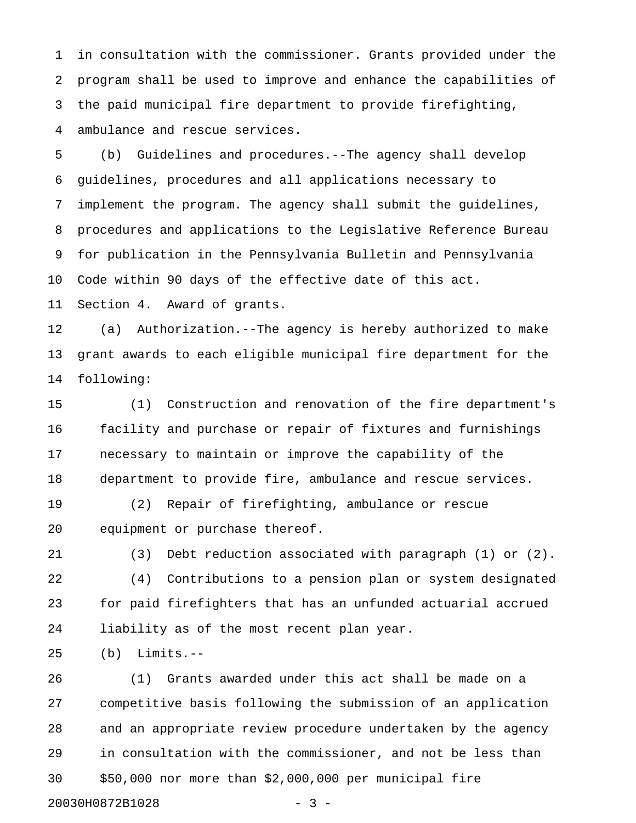1 in consultation with the commissioner. Grants provided under the 2 program shall be used to improve and enhance the capabilities of 3 the paid municipal fire department to provide firefighting, 4 ambulance and rescue services.

5 (b) Guidelines and procedures.--The agency shall develop 6 guidelines, procedures and all applications necessary to 7 implement the program. The agency shall submit the guidelines, 8 procedures and applications to the Legislative Reference Bureau 9 for publication in the Pennsylvania Bulletin and Pennsylvania 10 Code within 90 days of the effective date of this act.

11 Section 4. Award of grants.

12 (a) Authorization.--The agency is hereby authorized to make 13 grant awards to each eligible municipal fire department for the 14 following:

15 (1) Construction and renovation of the fire department's 16 facility and purchase or repair of fixtures and furnishings 17 necessary to maintain or improve the capability of the 18 department to provide fire, ambulance and rescue services.

19 (2) Repair of firefighting, ambulance or rescue 20 equipment or purchase thereof.

21 (3) Debt reduction associated with paragraph (1) or (2).

22 (4) Contributions to a pension plan or system designated 23 for paid firefighters that has an unfunded actuarial accrued 24 liability as of the most recent plan year.

25 (b) Limits.--

26 (1) Grants awarded under this act shall be made on a 27 competitive basis following the submission of an application 28 and an appropriate review procedure undertaken by the agency 29 in consultation with the commissioner, and not be less than 30 \$50,000 nor more than \$2,000,000 per municipal fire 20030H0872B1028 - 3 -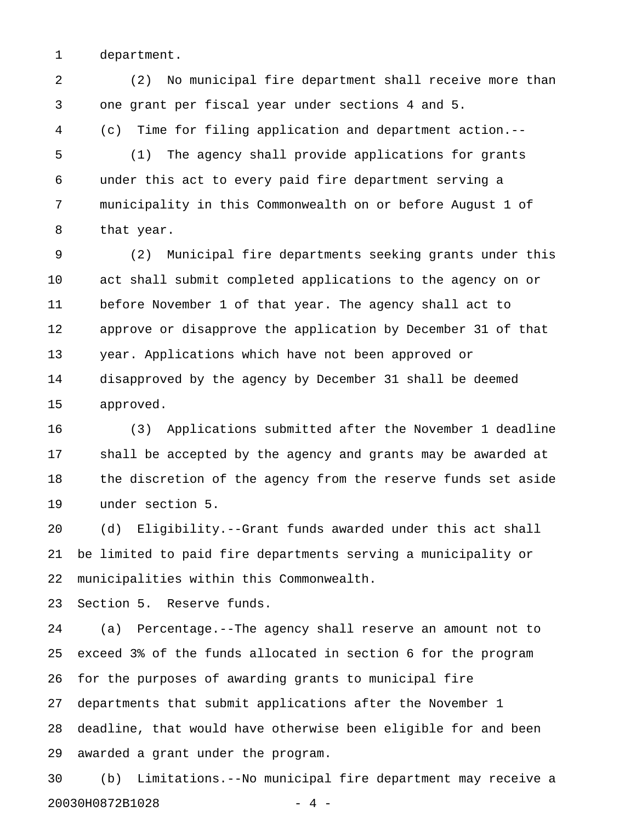1 department.

2 (2) No municipal fire department shall receive more than 3 one grant per fiscal year under sections 4 and 5. 4 (c) Time for filing application and department action.--

5 (1) The agency shall provide applications for grants 6 under this act to every paid fire department serving a 7 municipality in this Commonwealth on or before August 1 of 8 that year.

9 (2) Municipal fire departments seeking grants under this 10 act shall submit completed applications to the agency on or 11 before November 1 of that year. The agency shall act to 12 approve or disapprove the application by December 31 of that 13 year. Applications which have not been approved or 14 disapproved by the agency by December 31 shall be deemed 15 approved.

16 (3) Applications submitted after the November 1 deadline 17 shall be accepted by the agency and grants may be awarded at 18 the discretion of the agency from the reserve funds set aside 19 under section 5.

20 (d) Eligibility.--Grant funds awarded under this act shall 21 be limited to paid fire departments serving a municipality or 22 municipalities within this Commonwealth.

23 Section 5. Reserve funds.

24 (a) Percentage.--The agency shall reserve an amount not to 25 exceed 3% of the funds allocated in section 6 for the program 26 for the purposes of awarding grants to municipal fire 27 departments that submit applications after the November 1 28 deadline, that would have otherwise been eligible for and been 29 awarded a grant under the program.

30 (b) Limitations.--No municipal fire department may receive a 20030H0872B1028 - 4 -